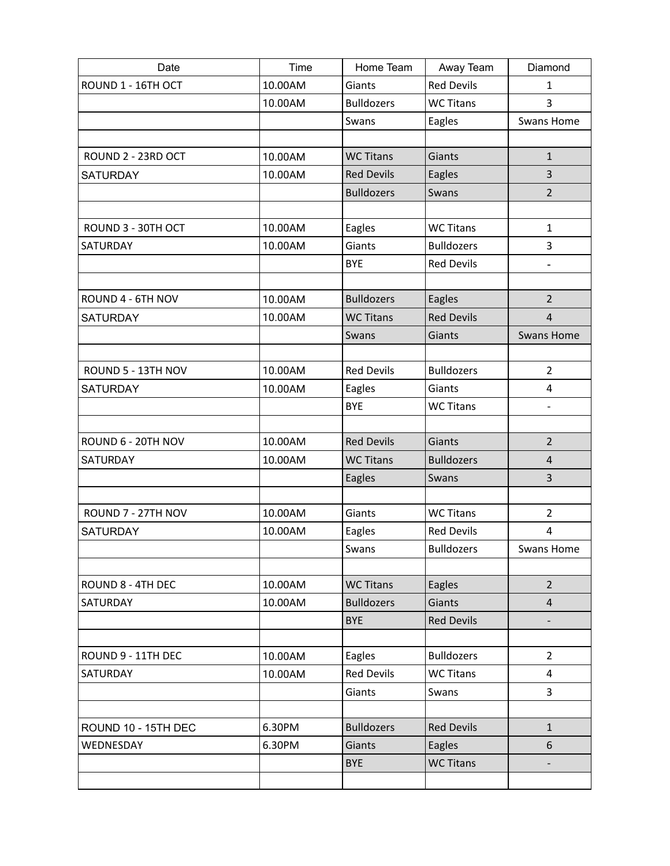| Date                | Time    | Home Team                   | Away Team                  | Diamond                  |
|---------------------|---------|-----------------------------|----------------------------|--------------------------|
| ROUND 1 - 16TH OCT  | 10.00AM | Giants                      | <b>Red Devils</b>          | $\mathbf{1}$             |
|                     | 10.00AM | <b>Bulldozers</b>           | <b>WC Titans</b>           | 3                        |
|                     |         | Swans                       | Eagles                     | <b>Swans Home</b>        |
|                     |         |                             |                            |                          |
| ROUND 2 - 23RD OCT  | 10.00AM | <b>WC Titans</b>            | Giants                     | $\mathbf{1}$             |
| <b>SATURDAY</b>     | 10.00AM | <b>Red Devils</b>           | Eagles                     | 3                        |
|                     |         | <b>Bulldozers</b>           | Swans                      | $\overline{2}$           |
|                     |         |                             |                            |                          |
| ROUND 3 - 30TH OCT  | 10.00AM | Eagles                      | <b>WC Titans</b>           | $\mathbf{1}$             |
| SATURDAY            | 10.00AM | Giants                      | <b>Bulldozers</b>          | 3                        |
|                     |         | <b>BYE</b>                  | <b>Red Devils</b>          | $\overline{\phantom{a}}$ |
|                     |         |                             |                            |                          |
| ROUND 4 - 6TH NOV   | 10.00AM | <b>Bulldozers</b>           | Eagles                     | $\overline{2}$           |
| <b>SATURDAY</b>     | 10.00AM | <b>WC Titans</b>            | <b>Red Devils</b>          | $\overline{4}$           |
|                     |         | Swans                       | Giants                     | <b>Swans Home</b>        |
|                     |         |                             |                            |                          |
| ROUND 5 - 13TH NOV  | 10.00AM | <b>Red Devils</b>           | <b>Bulldozers</b>          | $\overline{2}$           |
| <b>SATURDAY</b>     | 10.00AM | Eagles                      | Giants                     | $\overline{4}$           |
|                     |         | <b>BYE</b>                  | <b>WC Titans</b>           | $\overline{\phantom{a}}$ |
|                     |         |                             |                            |                          |
| ROUND 6 - 20TH NOV  | 10.00AM | <b>Red Devils</b>           | Giants                     | $\overline{2}$           |
| <b>SATURDAY</b>     | 10.00AM | <b>WC Titans</b>            | <b>Bulldozers</b>          | 4                        |
|                     |         | Eagles                      | Swans                      | 3                        |
|                     |         |                             |                            |                          |
| ROUND 7 - 27TH NOV  | 10.00AM | Giants                      | <b>WC Titans</b>           | $\overline{2}$           |
| <b>SATURDAY</b>     | 10.00AM | Eagles                      | <b>Red Devils</b>          | 4                        |
|                     |         | Swans                       | <b>Bulldozers</b>          | Swans Home               |
|                     |         |                             |                            |                          |
| ROUND 8 - 4TH DEC   | 10.00AM | <b>WC Titans</b>            | Eagles                     | $\overline{2}$           |
| SATURDAY            | 10.00AM | <b>Bulldozers</b>           | Giants                     | $\overline{4}$           |
|                     |         | <b>BYE</b>                  | <b>Red Devils</b>          |                          |
| ROUND 9 - 11TH DEC  |         |                             | <b>Bulldozers</b>          | $\overline{2}$           |
|                     | 10.00AM | Eagles<br><b>Red Devils</b> |                            |                          |
| SATURDAY            | 10.00AM |                             | <b>WC Titans</b>           | 4<br>$\overline{3}$      |
|                     |         | Giants                      | Swans                      |                          |
|                     | 6.30PM  | <b>Bulldozers</b>           | <b>Red Devils</b>          |                          |
| ROUND 10 - 15TH DEC | 6.30PM  | Giants                      |                            | $\mathbf{1}$<br>6        |
| WEDNESDAY           |         | <b>BYE</b>                  | Eagles<br><b>WC Titans</b> |                          |
|                     |         |                             |                            | $\overline{\phantom{a}}$ |
|                     |         |                             |                            |                          |